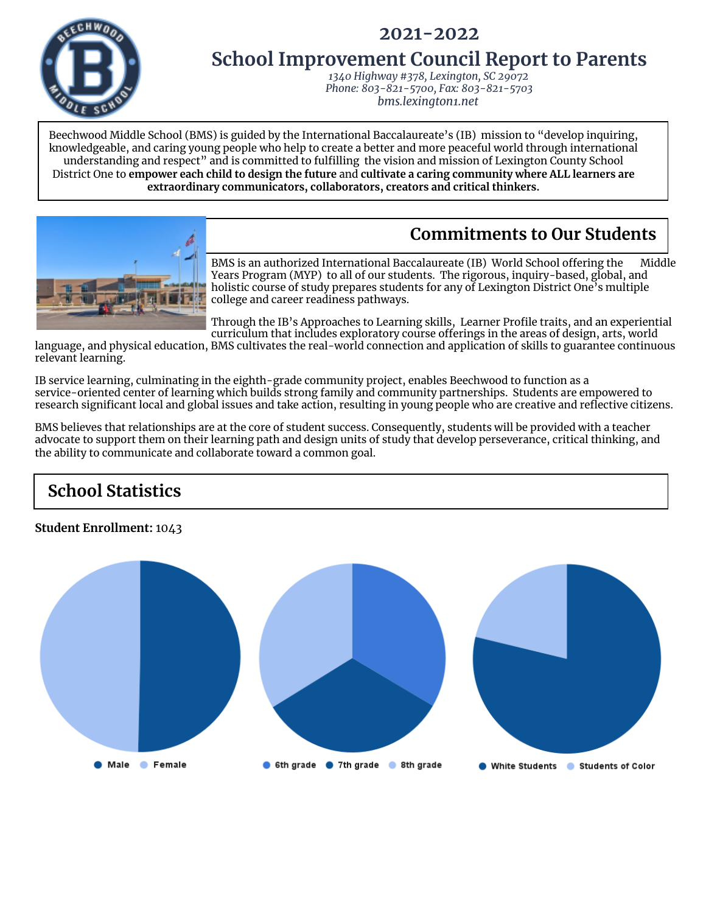



# **School Improvement Council Report to Parents**

*1340 Highway #378, Lexington, SC 29072 Phone: 803-821-5700, Fax: 803-821-5703 bms.lexington1.net*

Beechwood Middle School (BMS) is guided by the International Baccalaureate's (IB) mission to "develop inquiring, knowledgeable, and caring young people who help to create a better and more peaceful world through international understanding and respect" and is committed to fulfilling the vision and mission of Lexington County School District One to **empower each child to design the future** and **cultivate a caring community where ALL learners are extraordinary communicators, collaborators, creators and critical thinkers.**

# **Commitments to Our Students**



BMS is an authorized International Baccalaureate (IB) World School offering the Middle Years Program (MYP) to all of our students. The rigorous, inquiry-based, global, and holistic course of study prepares students for any of Lexington District One's multiple college and career readiness pathways.

Through the IB's Approaches to Learning skills, Learner Profile traits, and an experiential curriculum that includes exploratory course offerings in the areas of design, arts, world

language, and physical education, BMS cultivates the real-world connection and application of skills to guarantee continuous relevant learning.

IB service learning, culminating in the eighth-grade community project, enables Beechwood to function as a service-oriented center of learning which builds strong family and community partnerships. Students are empowered to research significant local and global issues and take action, resulting in young people who are creative and reflective citizens.

BMS believes that relationships are at the core of student success. Consequently, students will be provided with a teacher advocate to support them on their learning path and design units of study that develop perseverance, critical thinking, and the ability to communicate and collaborate toward a common goal.

# **School Statistics**

### **Student Enrollment:** 1043

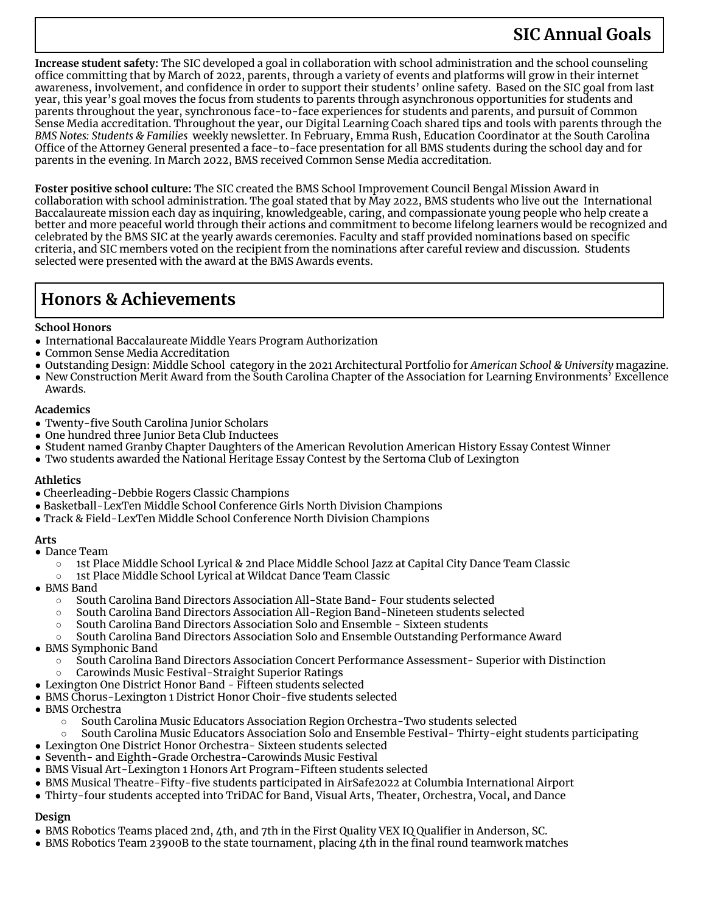**Increase student safety:** The SIC developed a goal in collaboration with school administration and the school counseling office committing that by March of 2022, parents, through a variety of events and platforms will grow in their internet awareness, involvement, and confidence in order to support their students' online safety. Based on the SIC goal from last year, this year's goal moves the focus from students to parents through asynchronous opportunities for students and parents throughout the year, synchronous face-to-face experiences for students and parents, and pursuit of Common Sense Media accreditation. Throughout the year, our Digital Learning Coach shared tips and tools with parents through the *BMS Notes: Students & Families* weekly newsletter. In February, Emma Rush, Education Coordinator at the South Carolina Office of the Attorney General presented a face-to-face presentation for all BMS students during the school day and for parents in the evening. In March 2022, BMS received Common Sense Media accreditation.

**Foster positive school culture:** The SIC created the BMS School Improvement Council Bengal Mission Award in collaboration with school administration. The goal stated that by May 2022, BMS students who live out the International Baccalaureate mission each day as inquiring, knowledgeable, caring, and compassionate young people who help create a better and more peaceful world through their actions and commitment to become lifelong learners would be recognized and celebrated by the BMS SIC at the yearly awards ceremonies. Faculty and staff provided nominations based on specific criteria, and SIC members voted on the recipient from the nominations after careful review and discussion. Students selected were presented with the award at the BMS Awards events.

## **Honors & Achievements**

#### **School Honors**

- International Baccalaureate Middle Years Program Authorization
- Common Sense Media Accreditation
- Outstanding Design: Middle School category in the 2021 Architectural Portfolio for *American School & University* magazine.
- New Construction Merit Award from the South Carolina Chapter of the Association for Learning Environments' Excellence Awards.

#### **Academics**

- Twenty-five South Carolina Junior Scholars
- One hundred three Junior Beta Club Inductees
- Student named Granby Chapter Daughters of the American Revolution American History Essay Contest Winner
- Two students awarded the National Heritage Essay Contest by the Sertoma Club of Lexington

#### **Athletics**

- Cheerleading-Debbie Rogers Classic Champions
- Basketball-LexTen Middle School Conference Girls North Division Champions
- Track & Field-LexTen Middle School Conference North Division Champions

#### **Arts**

- Dance Team
	- 1st Place Middle School Lyrical & 2nd Place Middle School Jazz at Capital City Dance Team Classic
	- 1st Place Middle School Lyrical at Wildcat Dance Team Classic
- BMS Band
	- South Carolina Band Directors Association All-State Band- Four students selected
	- South Carolina Band Directors Association All-Region Band-Nineteen students selected
	- South Carolina Band Directors Association Solo and Ensemble Sixteen students
	- South Carolina Band Directors Association Solo and Ensemble Outstanding Performance Award
- BMS Symphonic Band
	- South Carolina Band Directors Association Concert Performance Assessment- Superior with Distinction
	- Carowinds Music Festival-Straight Superior Ratings
- Lexington One District Honor Band Fifteen students selected
- BMS Chorus-Lexington 1 District Honor Choir-five students selected
- BMS Orchestra
	- South Carolina Music Educators Association Region Orchestra-Two students selected
	- South Carolina Music Educators Association Solo and Ensemble Festival- Thirty-eight students participating
- Lexington One District Honor Orchestra- Sixteen students selected
- Seventh- and Eighth-Grade Orchestra-Carowinds Music Festival
- BMS Visual Art-Lexington 1 Honors Art Program-Fifteen students selected
- BMS Musical Theatre-Fifty-five students participated in AirSafe2022 at Columbia International Airport
- Thirty-four students accepted into TriDAC for Band, Visual Arts, Theater, Orchestra, Vocal, and Dance

### **Design**

- BMS Robotics Teams placed 2nd, 4th, and 7th in the First Quality VEX IQ Qualifier in Anderson, SC.
- BMS Robotics Team 23900B to the state tournament, placing 4th in the final round teamwork matches